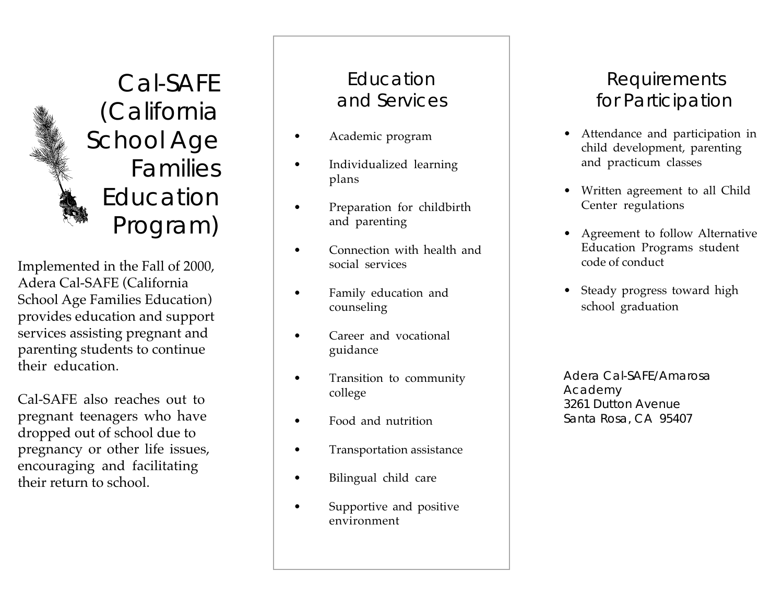Cal-SAFE (California School Age Families Education Program)

Implemented in the Fall of 2000, Adera Cal-SAFE (California School Age Families Education) provides education and support services assisting pregnant and parenting students to continue their education.

Cal-SAFE also reaches out to pregnant teenagers who have dropped out of school due to pregnancy or other life issues, encouraging and facilitating their return to school.

## Education and Services

- Academic program
- Individualized learning plans
- Preparation for childbirth and parenting
- Connection with health and social services
- Family education and counseling
- Career and vocational guidance
- Transition to community college
- Food and nutrition
- Transportation assistance
- Bilingual child care
- Supportive and positive environment

## Requirements for Participation

- Attendance and participation in child development, parenting and practicum classes
- Written agreement to all Child Center regulations
- •••• Agreement to follow Alternative Education Programs student code of conduct
- Steady progress toward high school graduation

Adera Cal-SAFE/Amarosa Academy 3261 Dutton Avenue Santa Rosa, CA 95407